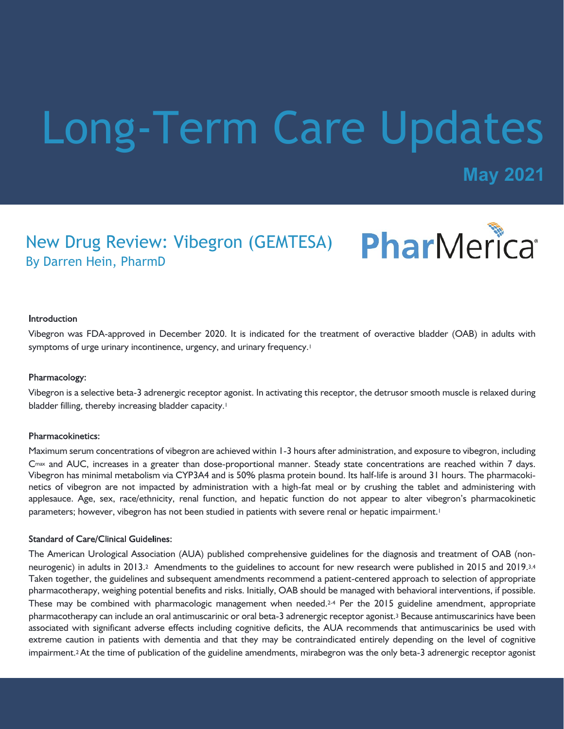# Long-Term Care Updates

**May 2021**

### PharMerica® New Drug Review: Vibegron (GEMTESA) By Darren Hein, PharmD

#### **Introduction**

Vibegron was FDA-approved in December 2020. It is indicated for the treatment of overactive bladder (OAB) in adults with symptoms of urge urinary incontinence, urgency, and urinary frequency.<sup>1</sup>

#### Pharmacology:

Vibegron is a selective beta-3 adrenergic receptor agonist. In activating this receptor, the detrusor smooth muscle is relaxed during bladder filling, thereby increasing bladder capacity.<sup>1</sup>

#### Pharmacokinetics:

Maximum serum concentrations of vibegron are achieved within 1-3 hours after administration, and exposure to vibegron, including Cmax and AUC, increases in a greater than dose-proportional manner. Steady state concentrations are reached within 7 days. Vibegron has minimal metabolism via CYP3A4 and is 50% plasma protein bound. Its half-life is around 31 hours. The pharmacokinetics of vibegron are not impacted by administration with a high-fat meal or by crushing the tablet and administering with applesauce. Age, sex, race/ethnicity, renal function, and hepatic function do not appear to alter vibegron's pharmacokinetic parameters; however, vibegron has not been studied in patients with severe renal or hepatic impairment.<sup>1</sup>

#### **Standard of Care/Clinical Guidelines:**

The American Urological Association (AUA) published comprehensive guidelines for the diagnosis and treatment of OAB (nonneurogenic) in adults in 2013.<sup>2</sup> Amendments to the guidelines to account for new research were published in 2015 and 2019.<sup>3,4</sup> Taken together, the guidelines and subsequent amendments recommend a patient-centered approach to selection of appropriate pharmacotherapy, weighing potential benefits and risks. Initially, OAB should be managed with behavioral interventions, if possible. These may be combined with pharmacologic management when needed.<sup>24</sup> Per the 2015 guideline amendment, appropriate pharmacotherapy can include an oral antimuscarinic or oral beta-3 adrenergic receptor agonist.3 Because antimuscarinics have been associated with significant adverse effects including cognitive deficits, the AUA recommends that antimuscarinics be used with extreme caution in patients with dementia and that they may be contraindicated entirely depending on the level of cognitive impairment.<sup>2</sup> At the time of publication of the guideline amendments, mirabegron was the only beta-3 adrenergic receptor agonist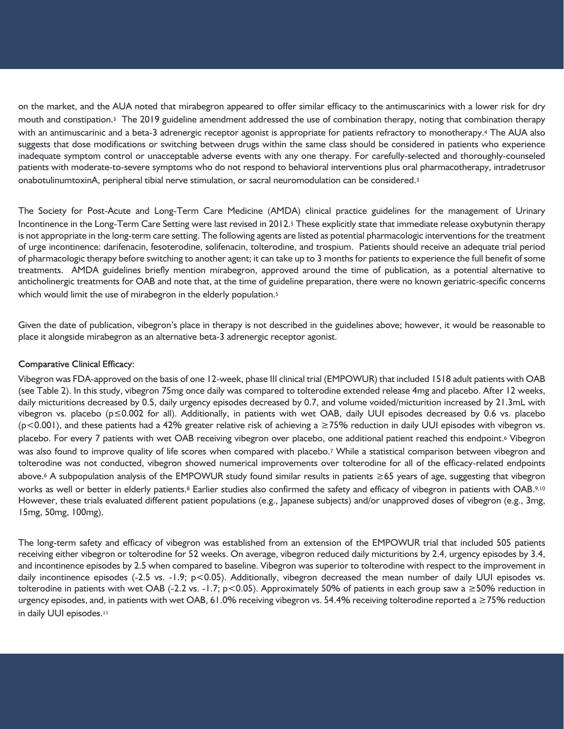on the market, and the AUA noted that mirabegron appeared to offer similar efficacy to the antimuscarinics with a lower risk for dry mouth and constipation.3 The 2019 guideline amendment addressed the use of combination therapy, noting that combination therapy with an antimuscarinic and a beta-3 adrenergic receptor agonist is appropriate for patients refractory to monotherapy.<sup>4</sup> The AUA also suggests that dose modifications or switching between drugs within the same class should be considered in patients who experience inadequate symptom control or unacceptable adverse events with any one therapy. For carefully-selected and thoroughly-counseled patients with moderate-to-severe symptoms who do not respond to behavioral interventions plus oral pharmacotherapy, intradetrusor onabotulinumtoxinA, peripheral tibial nerve stimulation, or sacral neuromodulation can be considered.<sup>3</sup>

The Society for Post-Acute and Long-Term Care Medicine (AMDA) clinical practice guidelines for the management of Urinary Incontinence in the Long-Term Care Setting were last revised in 2012.5 These explicitly state that immediate release oxybutynin therapy is not appropriate in the long-term care setting. The following agents are listed as potential pharmacologic interventions for the treatment of urge incontinence: darifenacin, fesoterodine, solifenacin, tolterodine, and trospium. Patients should receive an adequate trial period of pharmacologic therapy before switching to another agent; it can take up to 3 months for patients to experience the full benefit of some treatments. AMDA guidelines briefly mention mirabegron, approved around the time of publication, as a potential alternative to anticholinergic treatments for OAB and note that, at the time of guideline preparation, there were no known geriatric-specific concerns which would limit the use of mirabegron in the elderly population.<sup>5</sup>

Given the date of publication, vibegron's place in therapy is not described in the guidelines above; however, it would be reasonable to place it alongside mirabegron as an alternative beta-3 adrenergic receptor agonist.

#### **Comparative Clinical Efficacy:**

Vibegron was FDA-approved on the basis of one 12-week, phase III clinical trial (EMPOWUR) that included 1518 adult patients with OAB (see Table 2). In this study, vibegron 75mg once daily was compared to tolterodine extended release 4mg and placebo. After 12 weeks, daily micturitions decreased by 0.5, daily urgency episodes decreased by 0.7, and volume voided/micturition increased by 21.3mL with vibegron vs. placebo (p≤0.002 for all). Additionally, in patients with wet OAB, daily UUI episodes decreased by 0.6 vs. placebo (p<0.001), and these patients had a 42% greater relative risk of achieving a ≥75% reduction in daily UUI episodes with vibegron vs. placebo. For every 7 patients with wet OAB receiving vibegron over placebo, one additional patient reached this endpoint.6 Vibegron was also found to improve quality of life scores when compared with placebo.7 While a statistical comparison between vibegron and tolterodine was not conducted, vibegron showed numerical improvements over tolterodine for all of the efficacy-related endpoints above.6 A subpopulation analysis of the EMPOWUR study found similar results in patients ≥65 years of age, suggesting that vibegron works as well or better in elderly patients.8 Earlier studies also confirmed the safety and efficacy of vibegron in patients with OAB.9,10 However, these trials evaluated different patient populations (e.g., Japanese subjects) and/or unapproved doses of vibegron (e.g., 3mg, 15mg, 50mg, 100mg).

The long-term safety and efficacy of vibegron was established from an extension of the EMPOWUR trial that included 505 patients receiving either vibegron or tolterodine for 52 weeks. On average, vibegron reduced daily micturitions by 2.4, urgency episodes by 3.4, and incontinence episodes by 2.5 when compared to baseline. Vibegron was superior to tolterodine with respect to the improvement in daily incontinence episodes (-2.5 vs. -1.9; p<0.05). Additionally, vibegron decreased the mean number of daily UUI episodes vs. tolterodine in patients with wet OAB (-2.2 vs. -1.7; p<0.05). Approximately 50% of patients in each group saw a  $\geq$ 50% reduction in urgency episodes, and, in patients with wet OAB, 61.0% receiving vibegron vs. 54.4% receiving tolterodine reported a ≥75% reduction in daily UUI episodes.<sup>11</sup>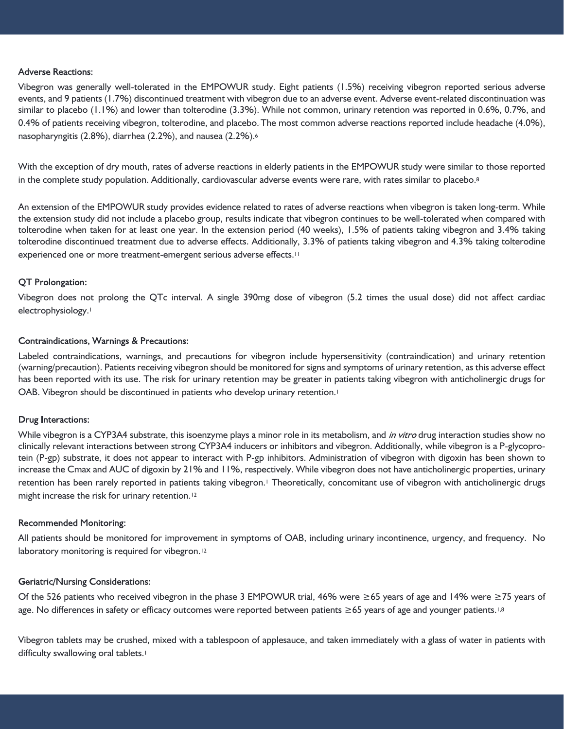#### **Adverse Reactions:**

Vibegron was generally well-tolerated in the EMPOWUR study. Eight patients (1.5%) receiving vibegron reported serious adverse events, and 9 patients (1.7%) discontinued treatment with vibegron due to an adverse event. Adverse event-related discontinuation was similar to placebo (1.1%) and lower than tolterodine (3.3%). While not common, urinary retention was reported in 0.6%, 0.7%, and 0.4% of patients receiving vibegron, tolterodine, and placebo. The most common adverse reactions reported include headache (4.0%), nasopharyngitis (2.8%), diarrhea (2.2%), and nausea (2.2%).<sup>6</sup>

With the exception of dry mouth, rates of adverse reactions in elderly patients in the EMPOWUR study were similar to those reported in the complete study population. Additionally, cardiovascular adverse events were rare, with rates similar to placebo.<sup>8</sup>

An extension of the EMPOWUR study provides evidence related to rates of adverse reactions when vibegron is taken long-term. While the extension study did not include a placebo group, results indicate that vibegron continues to be well-tolerated when compared with tolterodine when taken for at least one year. In the extension period (40 weeks), 1.5% of patients taking vibegron and 3.4% taking tolterodine discontinued treatment due to adverse effects. Additionally, 3.3% of patients taking vibegron and 4.3% taking tolterodine experienced one or more treatment-emergent serious adverse effects.<sup>11</sup>

#### QT Prolongation:

Vibegron does not prolong the QTc interval. A single 390mg dose of vibegron (5.2 times the usual dose) did not affect cardiac electrophysiology.<sup>1</sup>

#### **Contraindications, Warnings & Precautions:**

Labeled contraindications, warnings, and precautions for vibegron include hypersensitivity (contraindication) and urinary retention (warning/precaution). Patients receiving vibegron should be monitored for signs and symptoms of urinary retention, as this adverse effect has been reported with its use. The risk for urinary retention may be greater in patients taking vibegron with anticholinergic drugs for OAB. Vibegron should be discontinued in patients who develop urinary retention.<sup>1</sup>

#### **Drug Interactions:**

While vibegron is a CYP3A4 substrate, this isoenzyme plays a minor role in its metabolism, and *in vitro* drug interaction studies show no clinically relevant interactions between strong CYP3A4 inducers or inhibitors and vibegron. Additionally, while vibegron is a P-glycoprotein (P-gp) substrate, it does not appear to interact with P-gp inhibitors. Administration of vibegron with digoxin has been shown to increase the Cmax and AUC of digoxin by 21% and 11%, respectively. While vibegron does not have anticholinergic properties, urinary retention has been rarely reported in patients taking vibegron.1 Theoretically, concomitant use of vibegron with anticholinergic drugs might increase the risk for urinary retention.<sup>12</sup>

#### **Recommended Monitoring:**

All patients should be monitored for improvement in symptoms of OAB, including urinary incontinence, urgency, and frequency. No laboratory monitoring is required for vibegron.<sup>12</sup>

#### **Geriatric/Nursing Considerations:**

Of the 526 patients who received vibegron in the phase 3 EMPOWUR trial, 46% were  $\geq$  65 years of age and 14% were  $\geq$ 75 years of age. No differences in safety or efficacy outcomes were reported between patients ≥65 years of age and younger patients.<sup>1,8</sup>

Vibegron tablets may be crushed, mixed with a tablespoon of applesauce, and taken immediately with a glass of water in patients with difficulty swallowing oral tablets.<sup>1</sup>